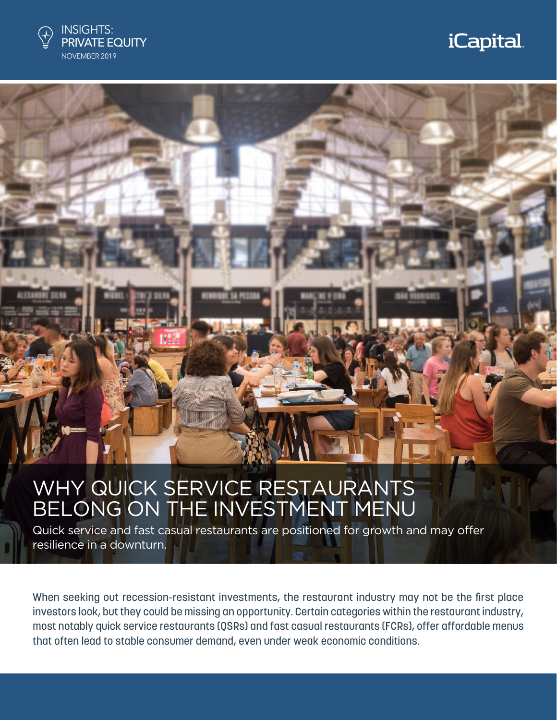

# *iCapital.*

## WHY QUICK SERVICE RESTAURANTS BELONG ON THE INVESTMENT MENU

Quick service and fast casual restaurants are positioned for growth and may offer resilience in a downturn.

When seeking out recession-resistant investments, the restaurant industry may not be the first place investors look, but they could be missing an opportunity. Certain categories within the restaurant industry, most notably quick service restaurants (QSRs) and fast casual restaurants (FCRs), offer affordable menus that often lead to stable consumer demand, even under weak economic conditions.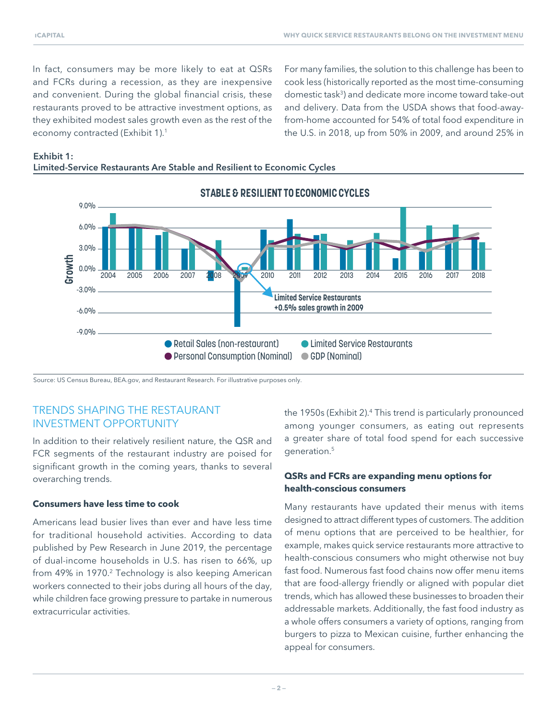In fact, consumers may be more likely to eat at QSRs and FCRs during a recession, as they are inexpensive and convenient. During the global financial crisis, these restaurants proved to be attractive investment options, as they exhibited modest sales growth even as the rest of the economy contracted (Exhibit 1).1

For many families, the solution to this challenge has been to cook less (historically reported as the most time-consuming domestic task3 ) and dedicate more income toward take-out and delivery. Data from the USDA shows that food-awayfrom-home accounted for 54% of total food expenditure in the U.S. in 2018, up from 50% in 2009, and around 25% in





Source: US Census Bureau, BEA.gov, and Restaurant Research. For illustrative purposes only.

## TRENDS SHAPING THE RESTAURANT INVESTMENT OPPORTUNITY

In addition to their relatively resilient nature, the QSR and FCR segments of the restaurant industry are poised for significant growth in the coming years, thanks to several overarching trends.

#### **Consumers have less time to cook**

Americans lead busier lives than ever and have less time for traditional household activities. According to data published by Pew Research in June 2019, the percentage of dual-income households in U.S. has risen to 66%, up from 49% in 1970.<sup>2</sup> Technology is also keeping American workers connected to their jobs during all hours of the day, while children face growing pressure to partake in numerous extracurricular activities.

the 1950s (Exhibit 2).4 This trend is particularly pronounced among younger consumers, as eating out represents a greater share of total food spend for each successive generation.5

#### **QSRs and FCRs are expanding menu options for health-conscious consumers**

Many restaurants have updated their menus with items designed to attract different types of customers. The addition of menu options that are perceived to be healthier, for example, makes quick service restaurants more attractive to health-conscious consumers who might otherwise not buy fast food. Numerous fast food chains now offer menu items that are food-allergy friendly or aligned with popular diet trends, which has allowed these businesses to broaden their addressable markets. Additionally, the fast food industry as a whole offers consumers a variety of options, ranging from burgers to pizza to Mexican cuisine, further enhancing the appeal for consumers.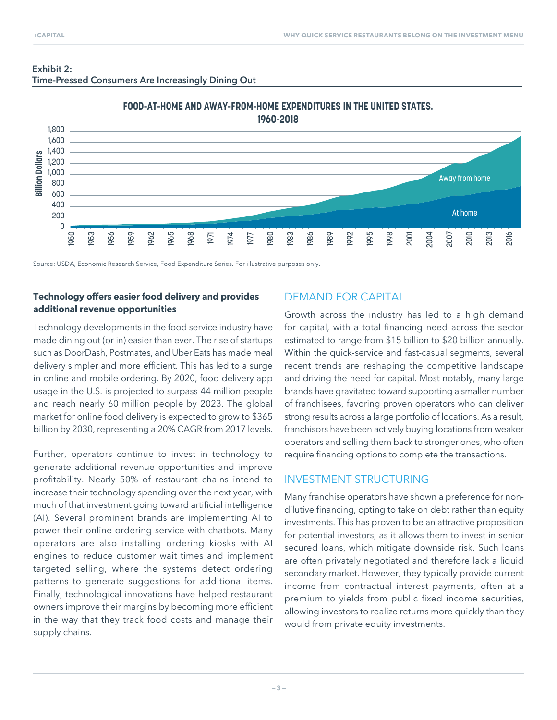

**FOOD-AT-HOME AND AWAY-FROM-HOME EXPENDITURES IN THE UNITED STATES.**

#### Exhibit 2: Time-Pressed Consumers Are Increasingly Dining Out

Source: USDA, Economic Research Service, Food Expenditure Series. For illustrative purposes only.

### **Technology offers easier food delivery and provides additional revenue opportunities**

Technology developments in the food service industry have made dining out (or in) easier than ever. The rise of startups such as DoorDash, Postmates, and Uber Eats has made meal delivery simpler and more efficient. This has led to a surge in online and mobile ordering. By 2020, food delivery app usage in the U.S. is projected to surpass 44 million people and reach nearly 60 million people by 2023. The global market for online food delivery is expected to grow to \$365 billion by 2030, representing a 20% CAGR from 2017 levels.

Further, operators continue to invest in technology to generate additional revenue opportunities and improve profitability. Nearly 50% of restaurant chains intend to increase their technology spending over the next year, with much of that investment going toward artificial intelligence (AI). Several prominent brands are implementing AI to power their online ordering service with chatbots. Many operators are also installing ordering kiosks with AI engines to reduce customer wait times and implement targeted selling, where the systems detect ordering patterns to generate suggestions for additional items. Finally, technological innovations have helped restaurant owners improve their margins by becoming more efficient in the way that they track food costs and manage their supply chains.

## DEMAND FOR CAPITAL

Growth across the industry has led to a high demand for capital, with a total financing need across the sector estimated to range from \$15 billion to \$20 billion annually. Within the quick-service and fast-casual segments, several recent trends are reshaping the competitive landscape and driving the need for capital. Most notably, many large brands have gravitated toward supporting a smaller number of franchisees, favoring proven operators who can deliver strong results across a large portfolio of locations. As a result, franchisors have been actively buying locations from weaker operators and selling them back to stronger ones, who often require financing options to complete the transactions.

## INVESTMENT STRUCTURING

Many franchise operators have shown a preference for nondilutive financing, opting to take on debt rather than equity investments. This has proven to be an attractive proposition for potential investors, as it allows them to invest in senior secured loans, which mitigate downside risk. Such loans are often privately negotiated and therefore lack a liquid secondary market. However, they typically provide current income from contractual interest payments, often at a premium to yields from public fixed income securities, allowing investors to realize returns more quickly than they would from private equity investments.